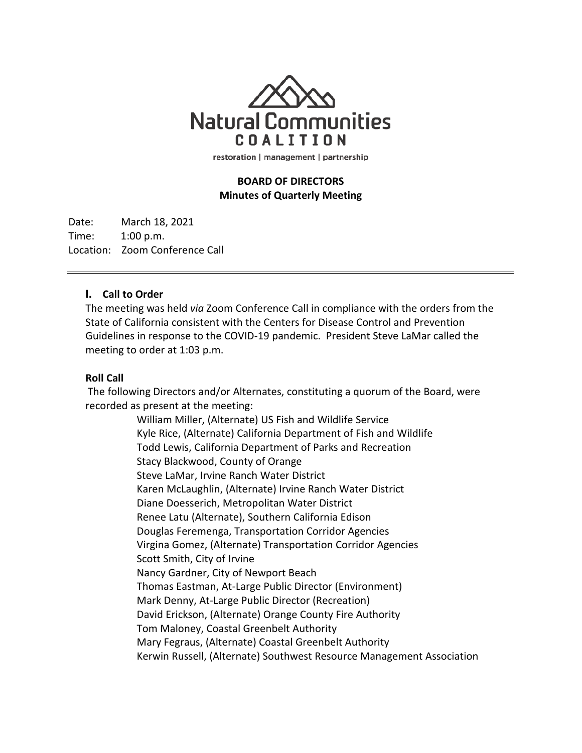

restoration | management | partnership

## **BOARD OF DIRECTORS Minutes of Quarterly Meeting**

Date: March 18, 2021 Time: 1:00 p.m. Location: Zoom Conference Call

## **I. Call to Order**

The meeting was held *via* Zoom Conference Call in compliance with the orders from the State of California consistent with the Centers for Disease Control and Prevention Guidelines in response to the COVID-19 pandemic. President Steve LaMar called the meeting to order at 1:03 p.m.

#### **Roll Call**

The following Directors and/or Alternates, constituting a quorum of the Board, were recorded as present at the meeting:

> William Miller, (Alternate) US Fish and Wildlife Service Kyle Rice, (Alternate) California Department of Fish and Wildlife Todd Lewis, California Department of Parks and Recreation Stacy Blackwood, County of Orange Steve LaMar, Irvine Ranch Water District Karen McLaughlin, (Alternate) Irvine Ranch Water District Diane Doesserich, Metropolitan Water District Renee Latu (Alternate), Southern California Edison Douglas Feremenga, Transportation Corridor Agencies Virgina Gomez, (Alternate) Transportation Corridor Agencies Scott Smith, City of Irvine Nancy Gardner, City of Newport Beach Thomas Eastman, At-Large Public Director (Environment) Mark Denny, At-Large Public Director (Recreation) David Erickson, (Alternate) Orange County Fire Authority Tom Maloney, Coastal Greenbelt Authority Mary Fegraus, (Alternate) Coastal Greenbelt Authority Kerwin Russell, (Alternate) Southwest Resource Management Association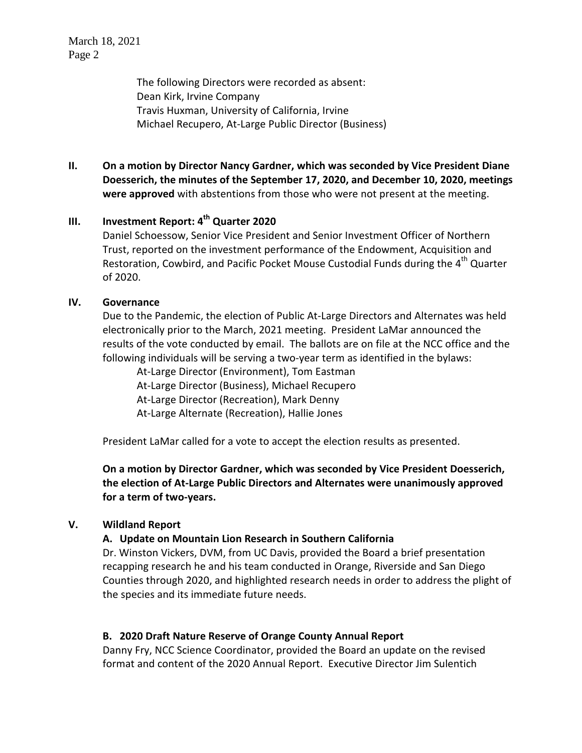March 18, 2021 Page 2

The following Directors were recorded as absent: Dean Kirk, Irvine Company Travis Huxman, University of California, Irvine Michael Recupero, At-Large Public Director (Business)

**II. On a motion by Director Nancy Gardner, which was seconded by Vice President Diane Doesserich, the minutes of the September 17, 2020, and December 10, 2020, meetings were approved** with abstentions from those who were not present at the meeting.

# **III. Investment Report: 4th Quarter 2020**

Daniel Schoessow, Senior Vice President and Senior Investment Officer of Northern Trust, reported on the investment performance of the Endowment, Acquisition and Restoration, Cowbird, and Pacific Pocket Mouse Custodial Funds during the 4<sup>th</sup> Quarter of 2020.

## **IV. Governance**

Due to the Pandemic, the election of Public At-Large Directors and Alternates was held electronically prior to the March, 2021 meeting. President LaMar announced the results of the vote conducted by email. The ballots are on file at the NCC office and the following individuals will be serving a two-year term as identified in the bylaws:

At-Large Director (Environment), Tom Eastman At-Large Director (Business), Michael Recupero At-Large Director (Recreation), Mark Denny At-Large Alternate (Recreation), Hallie Jones

President LaMar called for a vote to accept the election results as presented.

**On a motion by Director Gardner, which was seconded by Vice President Doesserich, the election of At-Large Public Directors and Alternates were unanimously approved for a term of two-years.** 

## **V. Wildland Report**

## **A. Update on Mountain Lion Research in Southern California**

Dr. Winston Vickers, DVM, from UC Davis, provided the Board a brief presentation recapping research he and his team conducted in Orange, Riverside and San Diego Counties through 2020, and highlighted research needs in order to address the plight of the species and its immediate future needs.

## **B. 2020 Draft Nature Reserve of Orange County Annual Report**

Danny Fry, NCC Science Coordinator, provided the Board an update on the revised format and content of the 2020 Annual Report. Executive Director Jim Sulentich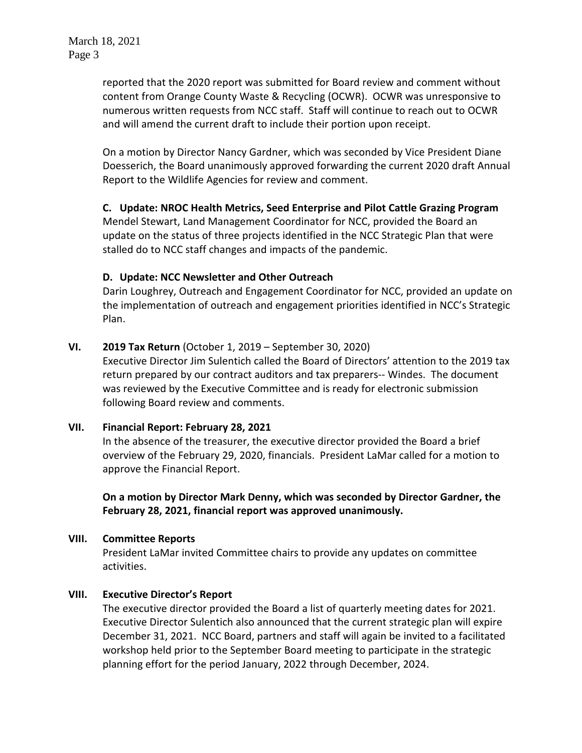reported that the 2020 report was submitted for Board review and comment without content from Orange County Waste & Recycling (OCWR). OCWR was unresponsive to numerous written requests from NCC staff. Staff will continue to reach out to OCWR and will amend the current draft to include their portion upon receipt.

On a motion by Director Nancy Gardner, which was seconded by Vice President Diane Doesserich, the Board unanimously approved forwarding the current 2020 draft Annual Report to the Wildlife Agencies for review and comment.

## **C. Update: NROC Health Metrics, Seed Enterprise and Pilot Cattle Grazing Program**

Mendel Stewart, Land Management Coordinator for NCC, provided the Board an update on the status of three projects identified in the NCC Strategic Plan that were stalled do to NCC staff changes and impacts of the pandemic.

## **D. Update: NCC Newsletter and Other Outreach**

Darin Loughrey, Outreach and Engagement Coordinator for NCC, provided an update on the implementation of outreach and engagement priorities identified in NCC's Strategic Plan.

## **VI. 2019 Tax Return** (October 1, 2019 – September 30, 2020)

Executive Director Jim Sulentich called the Board of Directors' attention to the 2019 tax return prepared by our contract auditors and tax preparers-- Windes. The document was reviewed by the Executive Committee and is ready for electronic submission following Board review and comments.

## **VII. Financial Report: February 28, 2021**

In the absence of the treasurer, the executive director provided the Board a brief overview of the February 29, 2020, financials. President LaMar called for a motion to approve the Financial Report.

**On a motion by Director Mark Denny, which was seconded by Director Gardner, the February 28, 2021, financial report was approved unanimously.**

## **VIII. Committee Reports**

President LaMar invited Committee chairs to provide any updates on committee activities.

## **VIII. Executive Director's Report**

The executive director provided the Board a list of quarterly meeting dates for 2021. Executive Director Sulentich also announced that the current strategic plan will expire December 31, 2021. NCC Board, partners and staff will again be invited to a facilitated workshop held prior to the September Board meeting to participate in the strategic planning effort for the period January, 2022 through December, 2024.